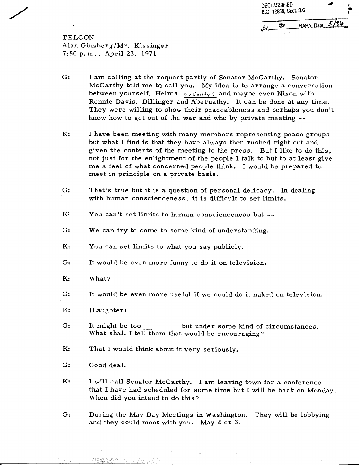| <b>DECLASSIFIED</b><br>E.O. 12958, Sect. 3.6 |                 |  |
|----------------------------------------------|-----------------|--|
|                                              | NARA, Date 5/26 |  |

**TELCON** Alan Ginsberg/Mr. Kissinger 7: 50 p. m. , April **23,** 197 1

- $G:$ I am calling at the request partly of Senator McCarthy. Senator McCarthy told me to call you. My idea is to arrange a conversation between yourself, Helms,  $f(z) = e^{i\theta} + i\theta$  and maybe even Nixon with Rennie Davis, Dillinger and Abernathy. It can be done at any time. They were willing to show their peaceableness and perhaps you don't know how to get out of the war and who by private meeting --
- K: I have been meeting with many members representing peace groups but what I find is that they have always then rushed right out and given the contents of the meeting to the press. But I like to do this, not just for the enlightment of the people I talk to but to at least give me a feel of what concerned people think. I would be prepared to meet in principle on a private basis.
- $G:$ That's true but it is a question of personal delicacy. In dealing with human conscienceness, it is difficult to set limits.
- $K^{\mathcal{X}}$ You can't set limits to human conscienceness but --
- $G:$ We can try to come to some kind of understanding.
- $K:$ You can set limits to what you say publicly.
- $G:$ It would be even more funny to do it on television.
- $K_{\mathcal{I}}$ What?
- $G:$ It would be even more useful if we could do it naked on television.
- $K:$ (Laughter)
- $G:$ It might be too but under some kind of circumstances. What shall I tell them that would be encouraging?
- K: That I would think about it very seriously.
- $G:$ Good deal.
- $K:$ I will call Senator McCarthy. I am leaving town for a conference that I have had scheduled for some time but I will be back on Monday. When did you intend to do this?
- $G:$ During the May Day Meetings in Washington. They will be lobbying and they could meet with you. May 2 or **3.**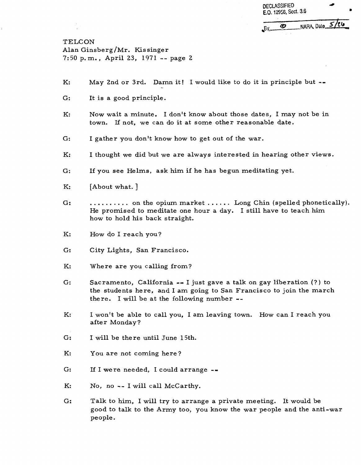DECLASSIFIED **4 E.0. 12958, Sect. 3.6** 

NARA, Dato 5/26  $\boldsymbol{\varpi}$ . Bv

TELCON Alan Ginsberg/Mr. Kissinger 7:50 p.m., April 23, 1971 -- page 2

- $K:$ May 2nd or 3rd. Damn it! I would like to do it in principle but  $-\bullet$
- $G:$ It is a good principle.
- $K:$ Now wait a minute. I don't know about those dates, I may not be in town. If not, we can do it at some other reasonable date.
- $G:$ I gather you don't know how to get out of the war.
- $K:$ I thought we did but we are always interested in hearing other views.
- $G:$ If you see Helms, ask him if he has begun meditating yet.
- $K:$ [About what. ]
- $G:$  $\dots\dots\dots$  on the opium market  $\dots\dots$  Long Chin (spelled phonetically). He promised to meditate one hour a day. I still have to teach him how to hold his back straight.
- $K:$ How do I reach you?
- $G:$ City Lights, San Francisco.
- $K:$ Where are you calling from?
- $G:$ Sacramento, California -- I just gave a talk on gay liberation (?) to the students here, and I am going to San Francisco to join the march there. I will be at the following number --
- K: I won't be able to call you, I am leaving town. How can I reach you after Monday ?
- $G:$ I will be there until June 15th.
- K: You are not coming here?
- $G:$ If I were needed, I could arrange  $-$
- K: No, no -- I will call McCarthy.
- $G:$ Talk to him, I will try to arrange a private meeting. It would be good to talk to the Army too, you know the war people and the anti-war people.